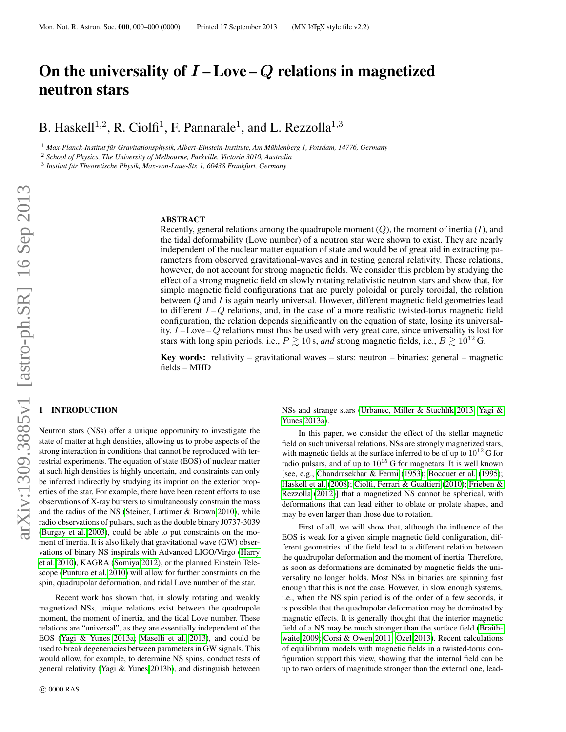# On the universality of  $I$  – Love – Q relations in magnetized neutron stars

B. Haskell<sup>1,2</sup>, R. Ciolfi<sup>1</sup>, F. Pannarale<sup>1</sup>, and L. Rezzolla<sup>1,3</sup>

<sup>1</sup> Max-Planck-Institut für Gravitationsphysik, Albert-Einstein-Institute, Am Mühlenberg 1, Potsdam, 14776, Germany

<sup>2</sup> *School of Physics, The University of Melbourne, Parkville, Victoria 3010, Australia*

<sup>3</sup> Institut für Theoretische Physik, Max-von-Laue-Str. 1, 60438 Frankfurt, Germany

# ABSTRACT

Recently, general relations among the quadrupole moment  $(Q)$ , the moment of inertia  $(I)$ , and the tidal deformability (Love number) of a neutron star were shown to exist. They are nearly independent of the nuclear matter equation of state and would be of great aid in extracting parameters from observed gravitational-waves and in testing general relativity. These relations, however, do not account for strong magnetic fields. We consider this problem by studying the effect of a strong magnetic field on slowly rotating relativistic neutron stars and show that, for simple magnetic field configurations that are purely poloidal or purely toroidal, the relation between Q and I is again nearly universal. However, different magnetic field geometries lead to different  $I - Q$  relations, and, in the case of a more realistic twisted-torus magnetic field configuration, the relation depends significantly on the equation of state, losing its universality.  $I - Love - Q$  relations must thus be used with very great care, since universality is lost for stars with long spin periods, i.e.,  $P \gtrsim 10$  s, *and* strong magnetic fields, i.e.,  $B \gtrsim 10^{12}$  G.

**Key words:** relativity – gravitational waves – stars: neutron – binaries: general – magnetic fields – MHD

# **INTRODUCTION**

Neutron stars (NSs) offer a unique opportunity to investigate the state of matter at high densities, allowing us to probe aspects of the strong interaction in conditions that cannot be reproduced with terrestrial experiments. The equation of state (EOS) of nuclear matter at such high densities is highly uncertain, and constraints can only be inferred indirectly by studying its imprint on the exterior properties of the star. For example, there have been recent efforts to use observations of X-ray bursters to simultaneously constrain the mass and the radius of the NS [\(Steiner, Lattimer & Brown 2010\)](#page-4-0), while radio observations of pulsars, such as the double binary J0737-3039 [\(Burgay et al. 2003\)](#page-4-1), could be able to put constraints on the moment of inertia. It is also likely that gravitational wave (GW) observations of binary NS inspirals with Advanced LIGO/Virgo [\(Harry](#page-4-2) [et al. 2010\)](#page-4-2), KAGRA [\(Somiya 2012\)](#page-4-3), or the planned Einstein Telescope [\(Punturo et al. 2010\)](#page-4-4) will allow for further constraints on the spin, quadrupolar deformation, and tidal Love number of the star.

Recent work has shown that, in slowly rotating and weakly magnetized NSs, unique relations exist between the quadrupole moment, the moment of inertia, and the tidal Love number. These relations are "universal", as they are essentially independent of the EOS [\(Yagi & Yunes 2013a;](#page-4-5) [Maselli et al. 2013\)](#page-4-6), and could be used to break degeneracies between parameters in GW signals. This would allow, for example, to determine NS spins, conduct tests of general relativity [\(Yagi & Yunes 2013b\)](#page-4-7), and distinguish between NSs and strange stars (Urbanec, Miller & Stuchlík 2013; [Yagi &](#page-4-5) [Yunes 2013a\)](#page-4-5).

In this paper, we consider the effect of the stellar magnetic field on such universal relations. NSs are strongly magnetized stars, with magnetic fields at the surface inferred to be of up to  $10^{12}$  G for radio pulsars, and of up to  $10^{15}$  G for magnetars. It is well known [see, e.g., [Chandrasekhar & Fermi](#page-4-9) [\(1953\)](#page-4-9); [Bocquet et al.](#page-4-10) [\(1995\)](#page-4-10); [Haskell et al.](#page-4-11) [\(2008\)](#page-4-11); [Ciolfi, Ferrari & Gualtieri](#page-4-12) [\(2010\)](#page-4-12); [Frieben &](#page-4-13) [Rezzolla](#page-4-13) [\(2012\)](#page-4-13)] that a magnetized NS cannot be spherical, with deformations that can lead either to oblate or prolate shapes, and may be even larger than those due to rotation.

First of all, we will show that, although the influence of the EOS is weak for a given simple magnetic field configuration, different geometries of the field lead to a different relation between the quadrupolar deformation and the moment of inertia. Therefore, as soon as deformations are dominated by magnetic fields the universality no longer holds. Most NSs in binaries are spinning fast enough that this is not the case. However, in slow enough systems, i.e., when the NS spin period is of the order of a few seconds, it is possible that the quadrupolar deformation may be dominated by magnetic effects. It is generally thought that the interior magnetic field of a NS may be much stronger than the surface field [\(Braith](#page-4-14)[waite 2009;](#page-4-14) [Corsi & Owen 2011;](#page-4-15) Özel 2013). Recent calculations of equilibrium models with magnetic fields in a twisted-torus configuration support this view, showing that the internal field can be up to two orders of magnitude stronger than the external one, lead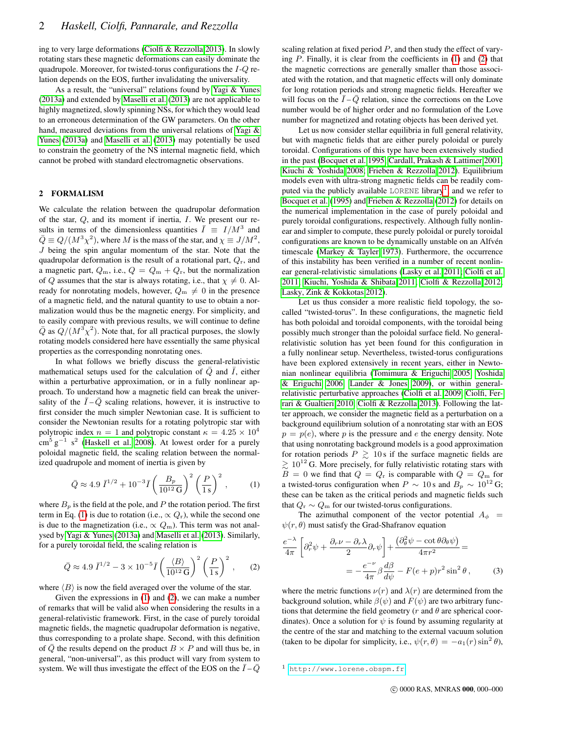ing to very large deformations [\(Ciolfi & Rezzolla 2013\)](#page-4-17). In slowly rotating stars these magnetic deformations can easily dominate the quadrupole. Moreover, for twisted-torus configurations the I-Q relation depends on the EOS, further invalidating the universality.

As a result, the "universal" relations found by [Yagi & Yunes](#page-4-5) [\(2013a\)](#page-4-5) and extended by [Maselli et al.](#page-4-6) [\(2013\)](#page-4-6) are not applicable to highly magnetized, slowly spinning NSs, for which they would lead to an erroneous determination of the GW parameters. On the other hand, measured deviations from the universal relations of [Yagi &](#page-4-5) [Yunes](#page-4-5) [\(2013a\)](#page-4-5) and [Maselli et al.](#page-4-6) [\(2013\)](#page-4-6) may potentially be used to constrain the geometry of the NS internal magnetic field, which cannot be probed with standard electromagnetic observations.

# 2 FORMALISM

We calculate the relation between the quadrupolar deformation of the star, Q, and its moment if inertia, I. We present our results in terms of the dimensionless quantities  $\overline{I} \equiv I/M^3$  and  $\overline{Q} \equiv Q/(M^3 \chi^2)$ , where M is the mass of the star, and  $\chi \equiv J/M^2$ ,  $J$  being the spin angular momentum of the star. Note that the quadrupolar deformation is the result of a rotational part,  $Q_r$ , and a magnetic part,  $Q_m$ , i.e.,  $Q = Q_m + Q_r$ , but the normalization of Q assumes that the star is always rotating, i.e., that  $\chi \neq 0$ . Already for nonrotating models, however,  $Q_m \neq 0$  in the presence of a magnetic field, and the natural quantity to use to obtain a normalization would thus be the magnetic energy. For simplicity, and to easily compare with previous results, we will continue to define  $\overline{Q}$  as  $Q/(M^3\chi^2)$ . Note that, for all practical purposes, the slowly rotating models considered here have essentially the same physical properties as the corresponding nonrotating ones.

In what follows we briefly discuss the general-relativistic mathematical setups used for the calculation of  $\overline{Q}$  and  $\overline{I}$ , either within a perturbative approximation, or in a fully nonlinear approach. To understand how a magnetic field can break the universality of the  $\overline{I} - \overline{Q}$  scaling relations, however, it is instructive to first consider the much simpler Newtonian case. It is sufficient to consider the Newtonian results for a rotating polytropic star with polytropic index  $n = 1$  and polytropic constant  $\kappa = 4.25 \times 10^4$  $\text{cm}^5 \text{ g}^{-1} \text{ s}^2$  [\(Haskell et al. 2008\)](#page-4-11). At lowest order for a purely poloidal magnetic field, the scaling relation between the normalized quadrupole and moment of inertia is given by

<span id="page-1-0"></span>
$$
\bar{Q} \approx 4.9 \,\bar{I}^{1/2} + 10^{-3} \bar{I} \left(\frac{B_p}{10^{12} \,\mathrm{G}}\right)^2 \left(\frac{P}{1 \,\mathrm{s}}\right)^2 ,\qquad (1)
$$

where  $B_p$  is the field at the pole, and P the rotation period. The first term in Eq. [\(1\)](#page-1-0) is due to rotation (i.e.,  $\propto Q_r$ ), while the second one is due to the magnetization (i.e.,  $\propto Q_{\rm m}$ ). This term was not analysed by [Yagi & Yunes](#page-4-5) [\(2013a\)](#page-4-5) and [Maselli et al.](#page-4-6) [\(2013\)](#page-4-6). Similarly, for a purely toroidal field, the scaling relation is

<span id="page-1-1"></span>
$$
\bar{Q} \approx 4.9 \,\bar{I}^{1/2} - 3 \times 10^{-5} \bar{I} \left(\frac{\langle B \rangle}{10^{12} \,\mathrm{G}}\right)^2 \left(\frac{P}{1 \,\mathrm{s}}\right)^2, \tag{2}
$$

where  $\langle B \rangle$  is now the field averaged over the volume of the star.

Given the expressions in [\(1\)](#page-1-0) and [\(2\)](#page-1-1), we can make a number of remarks that will be valid also when considering the results in a general-relativistic framework. First, in the case of purely toroidal magnetic fields, the magnetic quadrupolar deformation is negative, thus corresponding to a prolate shape. Second, with this definition of Q the results depend on the product  $B \times P$  and will thus be, in general, "non-universal", as this product will vary from system to system. We will thus investigate the effect of the EOS on the  $I-Q$ 

scaling relation at fixed period  $P$ , and then study the effect of varying  $P$ . Finally, it is clear from the coefficients in  $(1)$  and  $(2)$  that the magnetic corrections are generally smaller than those associated with the rotation, and that magnetic effects will only dominate for long rotation periods and strong magnetic fields. Hereafter we will focus on the  $I-Q$  relation, since the corrections on the Love number would be of higher order and no formulation of the Love number for magnetized and rotating objects has been derived yet.

Let us now consider stellar equilibria in full general relativity, but with magnetic fields that are either purely poloidal or purely toroidal. Configurations of this type have been extensively studied in the past [\(Bocquet et al. 1995;](#page-4-10) [Cardall, Prakash & Lattimer 2001;](#page-4-18) [Kiuchi & Yoshida 2008;](#page-4-19) [Frieben & Rezzolla 2012\)](#page-4-13). Equilibrium models even with ultra-strong magnetic fields can be readily com-puted via the publicly available LORENE library<sup>[1](#page-1-2)</sup>, and we refer to [Bocquet et al.](#page-4-10) [\(1995\)](#page-4-10) and [Frieben & Rezzolla](#page-4-13) [\(2012\)](#page-4-13) for details on the numerical implementation in the case of purely poloidal and purely toroidal configurations, respectively. Although fully nonlinear and simpler to compute, these purely poloidal or purely toroidal configurations are known to be dynamically unstable on an Alfven timescale [\(Markey & Tayler 1973\)](#page-4-20). Furthermore, the occurrence of this instability has been verified in a number of recent nonlinear general-relativistic simulations [\(Lasky et al. 2011;](#page-4-21) [Ciolfi et al.](#page-4-22) [2011;](#page-4-22) [Kiuchi, Yoshida & Shibata 2011;](#page-4-23) [Ciolfi & Rezzolla 2012;](#page-4-24) [Lasky, Zink & Kokkotas 2012\)](#page-4-25).

Let us thus consider a more realistic field topology, the socalled "twisted-torus". In these configurations, the magnetic field has both poloidal and toroidal components, with the toroidal being possibly much stronger than the poloidal surface field. No generalrelativistic solution has yet been found for this configuration in a fully nonlinear setup. Nevertheless, twisted-torus configurations have been explored extensively in recent years, either in Newtonian nonlinear equilibria [\(Tomimura & Eriguchi 2005;](#page-4-26) [Yoshida](#page-4-27) [& Eriguchi 2006;](#page-4-27) [Lander & Jones 2009\)](#page-4-28), or within generalrelativistic perturbative approaches [\(Ciolfi et al. 2009;](#page-4-29) [Ciolfi, Fer](#page-4-12)[rari & Gualtieri 2010;](#page-4-12) [Ciolfi & Rezzolla 2013\)](#page-4-17). Following the latter approach, we consider the magnetic field as a perturbation on a background equilibrium solution of a nonrotating star with an EOS  $p = p(e)$ , where p is the pressure and e the energy density. Note that using nonrotating background models is a good approximation for rotation periods  $P \ge 10$  s if the surface magnetic fields are  $\gtrsim 10^{12}$  G. More precisely, for fully relativistic rotating stars with  $B = 0$  we find that  $Q = Q_r$  is comparable with  $Q = Q_m$  for a twisted-torus configuration when  $P \sim 10$  s and  $B_p \sim 10^{12}$  G; these can be taken as the critical periods and magnetic fields such that  $Q_r \sim Q_m$  for our twisted-torus configurations.

The azimuthal component of the vector potential  $A_{\phi}$  =  $\psi(r, \theta)$  must satisfy the Grad-Shafranov equation

$$
\frac{e^{-\lambda}}{4\pi} \left[ \partial_r^2 \psi + \frac{\partial_r \nu - \partial_r \lambda}{2} \partial_r \psi \right] + \frac{\left( \partial_\theta^2 \psi - \cot \theta \partial_\theta \psi \right)}{4\pi r^2} =
$$

$$
= -\frac{e^{-\nu}}{4\pi} \beta \frac{d\beta}{d\psi} - F(e+p)r^2 \sin^2 \theta,
$$
(3)

where the metric functions  $\nu(r)$  and  $\lambda(r)$  are determined from the background solution, while  $\beta(\psi)$  and  $F(\psi)$  are two arbitrary functions that determine the field geometry (r and  $\theta$  are spherical coordinates). Once a solution for  $\psi$  is found by assuming regularity at the centre of the star and matching to the external vacuum solution (taken to be dipolar for simplicity, i.e.,  $\psi(r, \theta) = -a_1(r) \sin^2 \theta$ ),

<span id="page-1-2"></span><sup>1</sup> <http://www.lorene.obspm.fr>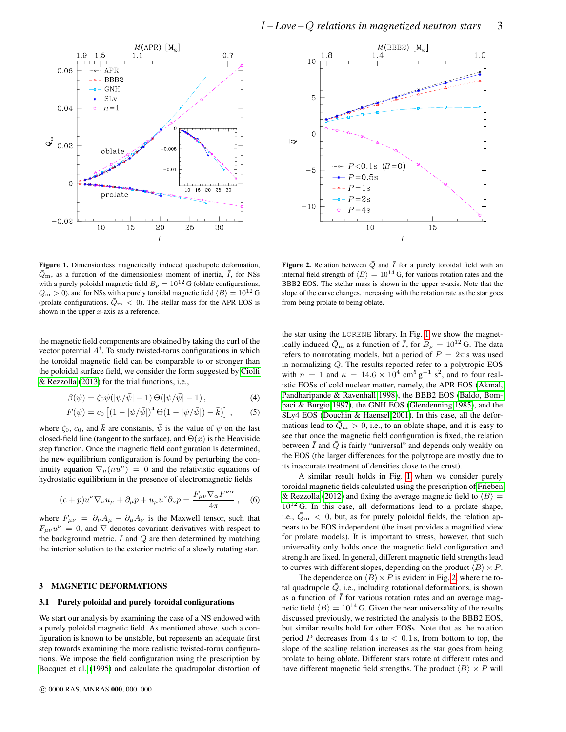



<span id="page-2-0"></span>Figure 1. Dimensionless magnetically induced quadrupole deformation,  $\overline{Q}_{\rm m}$ , as a function of the dimensionless moment of inertia,  $\overline{I}$ , for NSs with a purely poloidal magnetic field  $B_p = 10^{12}$  G (oblate configurations,  $\bar{Q}_{\rm m} > 0$ ), and for NSs with a purely toroidal magnetic field  $\langle B \rangle = 10^{12}$  G (prolate configurations,  $\bar{Q}_{\rm m} < 0$ ). The stellar mass for the APR EOS is shown in the upper  $x$ -axis as a reference.

the magnetic field components are obtained by taking the curl of the vector potential  $A^i$ . To study twisted-torus configurations in which the toroidal magnetic field can be comparable to or stronger than the poloidal surface field, we consider the form suggested by [Ciolfi](#page-4-17) [& Rezzolla](#page-4-17) [\(2013\)](#page-4-17) for the trial functions, i.e.,

$$
\beta(\psi) = \zeta_0 \psi(|\psi/\bar{\psi}| - 1) \Theta(|\psi/\bar{\psi}| - 1), \qquad (4)
$$

$$
F(\psi) = c_0 \left[ (1 - |\psi/\bar{\psi}|)^4 \Theta(1 - |\psi/\bar{\psi}|) - \bar{k} \right], \quad (5)
$$

where  $\zeta_0$ ,  $c_0$ , and  $\bar{k}$  are constants,  $\bar{\psi}$  is the value of  $\psi$  on the last closed-field line (tangent to the surface), and  $\Theta(x)$  is the Heaviside step function. Once the magnetic field configuration is determined, the new equilibrium configuration is found by perturbing the continuity equation  $\nabla_{\mu}(nu^{\mu}) = 0$  and the relativistic equations of hydrostatic equilibrium in the presence of electromagnetic fields

$$
(e+p)u^{\nu}\nabla_{\nu}u_{\mu}+\partial_{\mu}p+u_{\mu}u^{\nu}\partial_{\nu}p=\frac{F_{\mu\nu}\nabla_{\alpha}F^{\nu\alpha}}{4\pi},\quad(6)
$$

where  $F_{\mu\nu} = \partial_{\nu}A_{\mu} - \partial_{\mu}A_{\nu}$  is the Maxwell tensor, such that  $F_{\mu\nu}u^{\nu} = 0$ , and  $\nabla$  denotes covariant derivatives with respect to the background metric.  $I$  and  $Q$  are then determined by matching the interior solution to the exterior metric of a slowly rotating star.

#### 3 MAGNETIC DEFORMATIONS

#### 3.1 Purely poloidal and purely toroidal configurations

We start our analysis by examining the case of a NS endowed with a purely poloidal magnetic field. As mentioned above, such a configuration is known to be unstable, but represents an adequate first step towards examining the more realistic twisted-torus configurations. We impose the field configuration using the prescription by [Bocquet et al.](#page-4-10) [\(1995\)](#page-4-10) and calculate the quadrupolar distortion of

<span id="page-2-1"></span>**Figure 2.** Relation between  $\overline{Q}$  and  $\overline{I}$  for a purely toroidal field with an internal field strength of  $\langle B \rangle = 10^{14}$  G, for various rotation rates and the BBB2 EOS. The stellar mass is shown in the upper  $x$ -axis. Note that the slope of the curve changes, increasing with the rotation rate as the star goes from being prolate to being oblate.

<span id="page-2-2"></span>the star using the LORENE library. In Fig. [1](#page-2-0) we show the magnetically induced  $\bar{Q}_{\text{m}}$  as a function of  $\bar{I}$ , for  $B_p = 10^{12}$  G. The data refers to nonrotating models, but a period of  $P = 2\pi s$  was used in normalizing Q. The results reported refer to a polytropic EOS with  $n = 1$  and  $\kappa = 14.6 \times 10^4$  cm<sup>5</sup> g<sup>-1</sup> s<sup>2</sup>, and to four realistic EOSs of cold nuclear matter, namely, the APR EOS [\(Akmal,](#page-4-30) [Pandharipande & Ravenhall 1998\)](#page-4-30), the BBB2 EOS [\(Baldo, Bom](#page-4-31)[baci & Burgio 1997\)](#page-4-31), the GNH EOS [\(Glendenning 1985\)](#page-4-32), and the SLy4 EOS [\(Douchin & Haensel 2001\)](#page-4-33). In this case, all the deformations lead to  $\bar{Q}_{\rm m} > 0$ , i.e., to an oblate shape, and it is easy to see that once the magnetic field configuration is fixed, the relation between  $\overline{I}$  and  $\overline{Q}$  is fairly "universal" and depends only weakly on the EOS (the larger differences for the polytrope are mostly due to its inaccurate treatment of densities close to the crust).

<span id="page-2-3"></span>A similar result holds in Fig. [1](#page-2-0) when we consider purely toroidal magnetic fields calculated using the prescription of [Frieben](#page-4-13) [& Rezzolla](#page-4-13) [\(2012\)](#page-4-13) and fixing the average magnetic field to  $\langle B \rangle$  =  $10^{12}$  G. In this case, all deformations lead to a prolate shape, i.e.,  $\bar{Q}_{\text{m}} < 0$ , but, as for purely poloidal fields, the relation appears to be EOS independent (the inset provides a magnified view for prolate models). It is important to stress, however, that such universality only holds once the magnetic field configuration and strength are fixed. In general, different magnetic field strengths lead to curves with different slopes, depending on the product  $\langle B \rangle \times P$ .

The dependence on  $\langle B \rangle \times P$  is evident in Fig. [2,](#page-2-1) where the total quadrupole  $Q$ , i.e., including rotational deformations, is shown as a function of  $\overline{I}$  for various rotation rates and an average magnetic field  $\langle B \rangle = 10^{14}$  G. Given the near universality of the results discussed previously, we restricted the analysis to the BBB2 EOS, but similar results hold for other EOSs. Note that as the rotation period P decreases from  $4s$  to  $< 0.1$  s, from bottom to top, the slope of the scaling relation increases as the star goes from being prolate to being oblate. Different stars rotate at different rates and have different magnetic field strengths. The product  $\langle B \rangle \times P$  will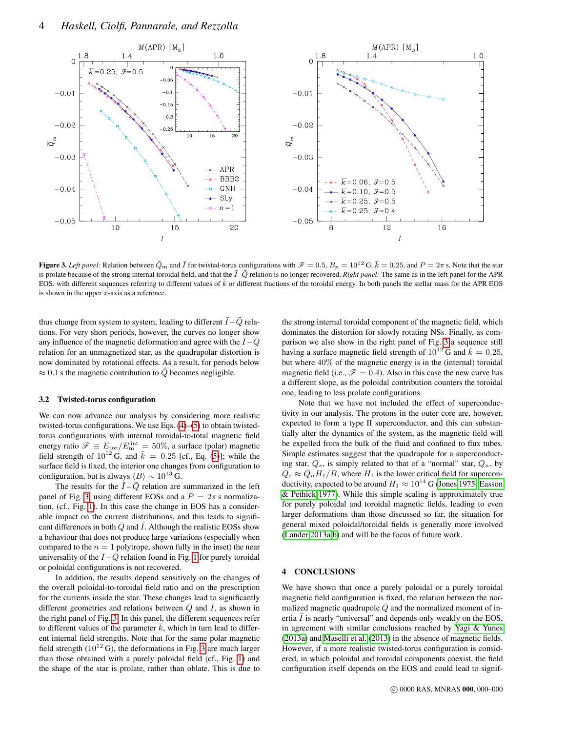

<span id="page-3-0"></span>**Figure 3.** Left panel: Relation between  $\bar{Q}_m$  and  $\bar{I}$  for twisted-torus configurations with  $\mathscr{F} = 0.5$ ,  $B_p = 10^{12}$  G,  $\bar{k} = 0.25$ , and  $P = 2\pi$  s. Note that the star is prolate because of the strong internal toroidal field, and that the  $\overline{I}-\overline{Q}$  relation is no longer recovered. *Right panel:* The same as in the left panel for the APR EOS, with different sequences referring to different values of  $\bar{k}$  or different fractions of the toroidal energy. In both panels the stellar mass for the APR EOS is shown in the upper  $x$ -axis as a reference.

thus change from system to system, leading to different  $\overline{I}-\overline{Q}$  relations. For very short periods, however, the curves no longer show any influence of the magnetic deformation and agree with the  $I-Q$ relation for an unmagnetized star, as the quadrupolar distortion is now dominated by rotational effects. As a result, for periods below  $\approx 0.1$  s the magnetic contribution to Q becomes negligible.

# 3.2 Twisted-torus configuration

We can now advance our analysis by considering more realistic twisted-torus configurations. We use Eqs. [\(4\)](#page-2-2)–[\(5\)](#page-2-3) to obtain twistedtorus configurations with internal toroidal-to-total magnetic field energy ratio  $\mathscr{F} \equiv E_{\text{tor}}/E^{\text{int}}_{\text{m}} = 50\%$ , a surface (polar) magnetic field strength of  $10^{12}$  G, and  $\bar{k} = 0.25$  [cf., Eq. [\(5\)](#page-2-3)]; while the surface field is fixed, the interior one changes from configuration to configuration, but is always  $\langle B \rangle \sim 10^{13}$  G.

The results for the  $\overline{I} - \overline{Q}$  relation are summarized in the left panel of Fig. [3,](#page-3-0) using different EOSs and a  $P = 2\pi$  s normalization, (cf., Fig. [1\)](#page-2-0). In this case the change in EOS has a considerable impact on the current distributions, and this leads to significant differences in both  $\overline{Q}$  and  $\overline{I}$ . Although the realistic EOSs show a behaviour that does not produce large variations (especially when compared to the  $n = 1$  polytrope, shown fully in the inset) the near universality of the  $\overline{I} - \overline{Q}$  relation found in Fig. [1](#page-2-0) for purely toroidal or poloidal configurations is not recovered.

In addition, the results depend sensitively on the changes of the overall poloidal-to-toroidal field ratio and on the prescription for the currents inside the star. These changes lead to significantly different geometries and relations between  $\overline{Q}$  and  $\overline{I}$ , as shown in the right panel of Fig. [3.](#page-3-0) In this panel, the different sequences refer to different values of the parameter  $\bar{k}$ , which in turn lead to different internal field strengths. Note that for the same polar magnetic field strength  $(10^{12} \text{ G})$ , the deformations in Fig. [3](#page-3-0) are much larger than those obtained with a purely poloidal field (cf., Fig. [1\)](#page-2-0) and the shape of the star is prolate, rather than oblate. This is due to the strong internal toroidal component of the magnetic field, which dominates the distortion for slowly rotating NSs. Finally, as comparison we also show in the right panel of Fig. [3](#page-3-0) a sequence still having a surface magnetic field strength of  $10^{12}$  G and  $\bar{k} = 0.25$ , but where 40% of the magnetic energy is in the (internal) toroidal magnetic field (i.e.,  $\mathscr{F} = 0.4$ ). Also in this case the new curve has a different slope, as the poloidal contribution counters the toroidal one, leading to less prolate configurations.

Note that we have not included the effect of superconductivity in our analysis. The protons in the outer core are, however, expected to form a type II superconductor, and this can substantially alter the dynamics of the system, as the magnetic field will be expelled from the bulk of the fluid and confined to flux tubes. Simple estimates suggest that the quadrupole for a superconducting star,  $Q_s$ , is simply related to that of a "normal" star,  $Q_n$ , by  $Q_s \approx Q_n H_1/B$ , where  $H_1$  is the lower critical field for superconductivity, expected to be around  $H_1 \approx 10^{14}$  G [\(Jones 1975;](#page-4-34) [Easson](#page-4-35) [& Pethick 1977\)](#page-4-35). While this simple scaling is approximately true for purely poloidal and toroidal magnetic fields, leading to even larger deformations than those discussed so far, the situation for general mixed poloidal/toroidal fields is generally more involved [\(Lander 2013a,](#page-4-36)[b\)](#page-4-37) and will be the focus of future work.

# 4 CONCLUSIONS

We have shown that once a purely poloidal or a purely toroidal magnetic field configuration is fixed, the relation between the normalized magnetic quadrupole  $\overline{Q}$  and the normalized moment of inertia  $I$  is nearly "universal" and depends only weakly on the EOS, in agreement with similar conclusions reached by [Yagi & Yunes](#page-4-5) [\(2013a\)](#page-4-5) and [Maselli et al.](#page-4-6) [\(2013\)](#page-4-6) in the absence of magnetic fields. However, if a more realistic twisted-torus configuration is considered, in which poloidal and toroidal components coexist, the field configuration itself depends on the EOS and could lead to signif